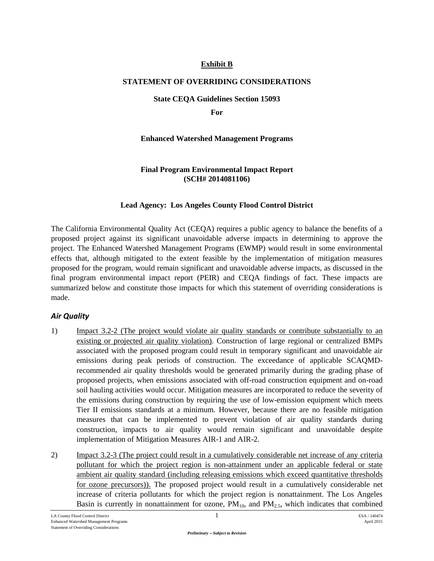### **Exhibit B**

### **STATEMENT OF OVERRIDING CONSIDERATIONS**

#### **State CEQA Guidelines Section 15093**

**For**

### **Enhanced Watershed Management Programs**

#### **Final Program Environmental Impact Report (SCH# 2014081106)**

### **Lead Agency: Los Angeles County Flood Control District**

The California Environmental Quality Act (CEQA) requires a public agency to balance the benefits of a proposed project against its significant unavoidable adverse impacts in determining to approve the project. The Enhanced Watershed Management Programs (EWMP) would result in some environmental effects that, although mitigated to the extent feasible by the implementation of mitigation measures proposed for the program, would remain significant and unavoidable adverse impacts, as discussed in the final program environmental impact report (PEIR) and CEQA findings of fact. These impacts are summarized below and constitute those impacts for which this statement of overriding considerations is made.

# *Air Quality*

- 1) Impact 3.2-2 (The project would violate air quality standards or contribute substantially to an existing or projected air quality violation). Construction of large regional or centralized BMPs associated with the proposed program could result in temporary significant and unavoidable air emissions during peak periods of construction. The exceedance of applicable SCAQMDrecommended air quality thresholds would be generated primarily during the grading phase of proposed projects, when emissions associated with off-road construction equipment and on-road soil hauling activities would occur. Mitigation measures are incorporated to reduce the severity of the emissions during construction by requiring the use of low-emission equipment which meets Tier II emissions standards at a minimum. However, because there are no feasible mitigation measures that can be implemented to prevent violation of air quality standards during construction, impacts to air quality would remain significant and unavoidable despite implementation of Mitigation Measures AIR-1 and AIR-2.
- 2) Impact 3.2-3 (The project could result in a cumulatively considerable net increase of any criteria pollutant for which the project region is non-attainment under an applicable federal or state ambient air quality standard (including releasing emissions which exceed quantitative thresholds for ozone precursors)). The proposed project would result in a cumulatively considerable net increase of criteria pollutants for which the project region is nonattainment. The Los Angeles Basin is currently in nonattainment for ozone,  $PM_{10}$ , and  $PM_{2.5}$ , which indicates that combined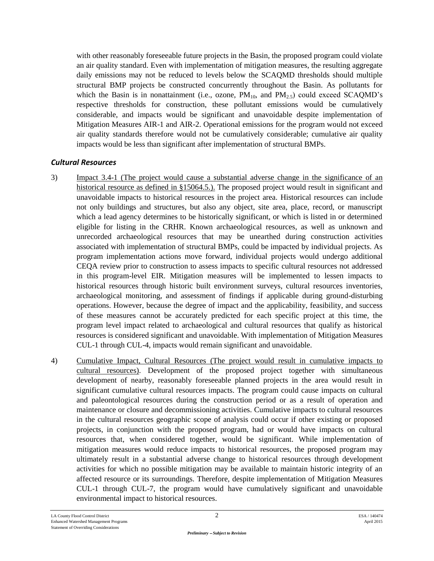with other reasonably foreseeable future projects in the Basin, the proposed program could violate an air quality standard. Even with implementation of mitigation measures, the resulting aggregate daily emissions may not be reduced to levels below the SCAQMD thresholds should multiple structural BMP projects be constructed concurrently throughout the Basin. As pollutants for which the Basin is in nonattainment (i.e., ozone,  $PM_{10}$ , and  $PM_{2.5}$ ) could exceed SCAQMD's respective thresholds for construction, these pollutant emissions would be cumulatively considerable, and impacts would be significant and unavoidable despite implementation of Mitigation Measures AIR-1 and AIR-2. Operational emissions for the program would not exceed air quality standards therefore would not be cumulatively considerable; cumulative air quality impacts would be less than significant after implementation of structural BMPs.

# *Cultural Resources*

- 3) Impact 3.4-1 (The project would cause a substantial adverse change in the significance of an historical resource as defined in §15064.5.). The proposed project would result in significant and unavoidable impacts to historical resources in the project area. Historical resources can include not only buildings and structures, but also any object, site area, place, record, or manuscript which a lead agency determines to be historically significant, or which is listed in or determined eligible for listing in the CRHR. Known archaeological resources, as well as unknown and unrecorded archaeological resources that may be unearthed during construction activities associated with implementation of structural BMPs, could be impacted by individual projects. As program implementation actions move forward, individual projects would undergo additional CEQA review prior to construction to assess impacts to specific cultural resources not addressed in this program-level EIR. Mitigation measures will be implemented to lessen impacts to historical resources through historic built environment surveys, cultural resources inventories, archaeological monitoring, and assessment of findings if applicable during ground-disturbing operations. However, because the degree of impact and the applicability, feasibility, and success of these measures cannot be accurately predicted for each specific project at this time, the program level impact related to archaeological and cultural resources that qualify as historical resources is considered significant and unavoidable. With implementation of Mitigation Measures CUL-1 through CUL-4, impacts would remain significant and unavoidable.
- 4) Cumulative Impact, Cultural Resources (The project would result in cumulative impacts to cultural resources). Development of the proposed project together with simultaneous development of nearby, reasonably foreseeable planned projects in the area would result in significant cumulative cultural resources impacts. The program could cause impacts on cultural and paleontological resources during the construction period or as a result of operation and maintenance or closure and decommissioning activities. Cumulative impacts to cultural resources in the cultural resources geographic scope of analysis could occur if other existing or proposed projects, in conjunction with the proposed program, had or would have impacts on cultural resources that, when considered together, would be significant. While implementation of mitigation measures would reduce impacts to historical resources, the proposed program may ultimately result in a substantial adverse change to historical resources through development activities for which no possible mitigation may be available to maintain historic integrity of an affected resource or its surroundings. Therefore, despite implementation of Mitigation Measures CUL-1 through CUL-7, the program would have cumulatively significant and unavoidable environmental impact to historical resources.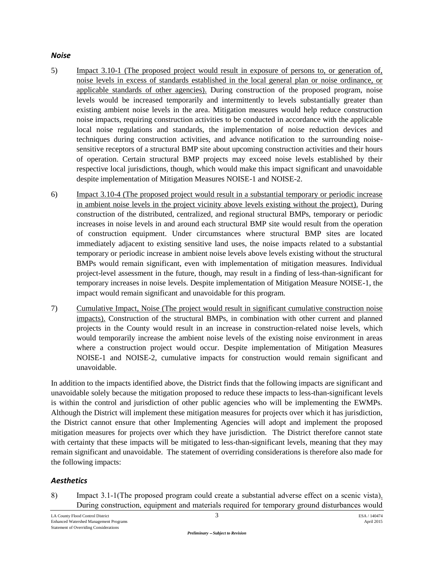#### *Noise*

- 5) Impact 3.10-1 (The proposed project would result in exposure of persons to, or generation of, noise levels in excess of standards established in the local general plan or noise ordinance, or applicable standards of other agencies). During construction of the proposed program, noise levels would be increased temporarily and intermittently to levels substantially greater than existing ambient noise levels in the area. Mitigation measures would help reduce construction noise impacts, requiring construction activities to be conducted in accordance with the applicable local noise regulations and standards, the implementation of noise reduction devices and techniques during construction activities, and advance notification to the surrounding noisesensitive receptors of a structural BMP site about upcoming construction activities and their hours of operation. Certain structural BMP projects may exceed noise levels established by their respective local jurisdictions, though, which would make this impact significant and unavoidable despite implementation of Mitigation Measures NOISE-1 and NOISE-2.
- 6) Impact 3.10-4 (The proposed project would result in a substantial temporary or periodic increase in ambient noise levels in the project vicinity above levels existing without the project). During construction of the distributed, centralized, and regional structural BMPs, temporary or periodic increases in noise levels in and around each structural BMP site would result from the operation of construction equipment. Under circumstances where structural BMP sites are located immediately adjacent to existing sensitive land uses, the noise impacts related to a substantial temporary or periodic increase in ambient noise levels above levels existing without the structural BMPs would remain significant, even with implementation of mitigation measures. Individual project-level assessment in the future, though, may result in a finding of less-than-significant for temporary increases in noise levels. Despite implementation of Mitigation Measure NOISE-1, the impact would remain significant and unavoidable for this program.
- 7) Cumulative Impact, Noise (The project would result in significant cumulative construction noise impacts). Construction of the structural BMPs, in combination with other current and planned projects in the County would result in an increase in construction-related noise levels, which would temporarily increase the ambient noise levels of the existing noise environment in areas where a construction project would occur. Despite implementation of Mitigation Measures NOISE-1 and NOISE-2, cumulative impacts for construction would remain significant and unavoidable.

In addition to the impacts identified above, the District finds that the following impacts are significant and unavoidable solely because the mitigation proposed to reduce these impacts to less-than-significant levels is within the control and jurisdiction of other public agencies who will be implementing the EWMPs. Although the District will implement these mitigation measures for projects over which it has jurisdiction, the District cannot ensure that other Implementing Agencies will adopt and implement the proposed mitigation measures for projects over which they have jurisdiction. The District therefore cannot state with certainty that these impacts will be mitigated to less-than-significant levels, meaning that they may remain significant and unavoidable. The statement of overriding considerations is therefore also made for the following impacts:

# *Aesthetics*

8) Impact 3.1-1(The proposed program could create a substantial adverse effect on a scenic vista). During construction, equipment and materials required for temporary ground disturbances would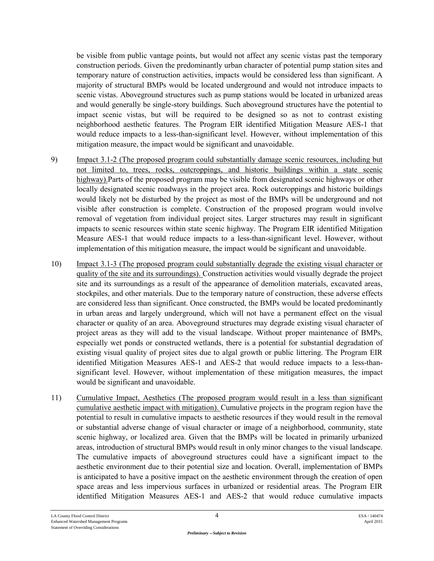be visible from public vantage points, but would not affect any scenic vistas past the temporary construction periods. Given the predominantly urban character of potential pump station sites and temporary nature of construction activities, impacts would be considered less than significant. A majority of structural BMPs would be located underground and would not introduce impacts to scenic vistas. Aboveground structures such as pump stations would be located in urbanized areas and would generally be single-story buildings. Such aboveground structures have the potential to impact scenic vistas, but will be required to be designed so as not to contrast existing neighborhood aesthetic features. The Program EIR identified Mitigation Measure AES-1 that would reduce impacts to a less-than-significant level. However, without implementation of this mitigation measure, the impact would be significant and unavoidable.

- 9) Impact 3.1-2 (The proposed program could substantially damage scenic resources, including but not limited to, trees, rocks, outcroppings, and historic buildings within a state scenic highway).Parts of the proposed program may be visible from designated scenic highways or other locally designated scenic roadways in the project area. Rock outcroppings and historic buildings would likely not be disturbed by the project as most of the BMPs will be underground and not visible after construction is complete. Construction of the proposed program would involve removal of vegetation from individual project sites. Larger structures may result in significant impacts to scenic resources within state scenic highway. The Program EIR identified Mitigation Measure AES-1 that would reduce impacts to a less-than-significant level. However, without implementation of this mitigation measure, the impact would be significant and unavoidable.
- 10) Impact 3.1-3 (The proposed program could substantially degrade the existing visual character or quality of the site and its surroundings). Construction activities would visually degrade the project site and its surroundings as a result of the appearance of demolition materials, excavated areas, stockpiles, and other materials. Due to the temporary nature of construction, these adverse effects are considered less than significant. Once constructed, the BMPs would be located predominantly in urban areas and largely underground, which will not have a permanent effect on the visual character or quality of an area. Aboveground structures may degrade existing visual character of project areas as they will add to the visual landscape. Without proper maintenance of BMPs, especially wet ponds or constructed wetlands, there is a potential for substantial degradation of existing visual quality of project sites due to algal growth or public littering. The Program EIR identified Mitigation Measures AES-1 and AES-2 that would reduce impacts to a less-thansignificant level. However, without implementation of these mitigation measures, the impact would be significant and unavoidable.
- 11) Cumulative Impact, Aesthetics (The proposed program would result in a less than significant cumulative aesthetic impact with mitigation). Cumulative projects in the program region have the potential to result in cumulative impacts to aesthetic resources if they would result in the removal or substantial adverse change of visual character or image of a neighborhood, community, state scenic highway, or localized area. Given that the BMPs will be located in primarily urbanized areas, introduction of structural BMPs would result in only minor changes to the visual landscape. The cumulative impacts of aboveground structures could have a significant impact to the aesthetic environment due to their potential size and location. Overall, implementation of BMPs is anticipated to have a positive impact on the aesthetic environment through the creation of open space areas and less impervious surfaces in urbanized or residential areas. The Program EIR identified Mitigation Measures AES-1 and AES-2 that would reduce cumulative impacts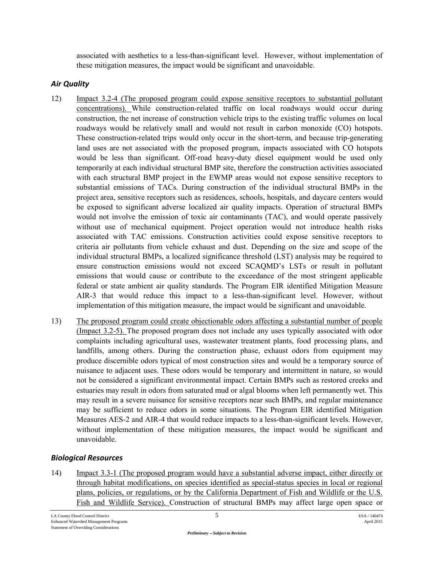associated with aesthetics to a less-than-significant level. However, without implementation of these mitigation measures, the impact would be significant and unavoidable.

# *Air Quality*

- 12) Impact 3.2-4 (The proposed program could expose sensitive receptors to substantial pollutant concentrations). While construction-related traffic on local roadways would occur during construction, the net increase of construction vehicle trips to the existing traffic volumes on local roadways would be relatively small and would not result in carbon monoxide (CO) hotspots. These construction-related trips would only occur in the short-term, and because trip-generating land uses are not associated with the proposed program, impacts associated with CO hotspots would be less than significant. Off-road heavy-duty diesel equipment would be used only temporarily at each individual structural BMP site, therefore the construction activities associated with each structural BMP project in the EWMP areas would not expose sensitive receptors to substantial emissions of TACs. During construction of the individual structural BMPs in the project area, sensitive receptors such as residences, schools, hospitals, and daycare centers would be exposed to significant adverse localized air quality impacts. Operation of structural BMPs would not involve the emission of toxic air contaminants (TAC), and would operate passively without use of mechanical equipment. Project operation would not introduce health risks associated with TAC emissions. Construction activities could expose sensitive receptors to criteria air pollutants from vehicle exhaust and dust. Depending on the size and scope of the individual structural BMPs, a localized significance threshold (LST) analysis may be required to ensure construction emissions would not exceed SCAQMD's LSTs or result in pollutant emissions that would cause or contribute to the exceedance of the most stringent applicable federal or state ambient air quality standards. The Program EIR identified Mitigation Measure AIR-3 that would reduce this impact to a less-than-significant level. However, without implementation of this mitigation measure, the impact would be significant and unavoidable.
- 13) The proposed program could create objectionable odors affecting a substantial number of people (Impact 3.2-5). The proposed program does not include any uses typically associated with odor complaints including agricultural uses, wastewater treatment plants, food processing plans, and landfills, among others. During the construction phase, exhaust odors from equipment may produce discernible odors typical of most construction sites and would be a temporary source of nuisance to adjacent uses. These odors would be temporary and intermittent in nature, so would not be considered a significant environmental impact. Certain BMPs such as restored creeks and estuaries may result in odors from saturated mud or algal blooms when left permanently wet. This may result in a severe nuisance for sensitive receptors near such BMPs, and regular maintenance may be sufficient to reduce odors in some situations. The Program EIR identified Mitigation Measures AES-2 and AIR-4 that would reduce impacts to a less-than-significant levels. However, without implementation of these mitigation measures, the impact would be significant and unavoidable.

# *Biological Resources*

14) Impact 3.3-1 (The proposed program would have a substantial adverse impact, either directly or through habitat modifications, on species identified as special-status species in local or regional plans, policies, or regulations, or by the California Department of Fish and Wildlife or the U.S. Fish and Wildlife Service). Construction of structural BMPs may affect large open space or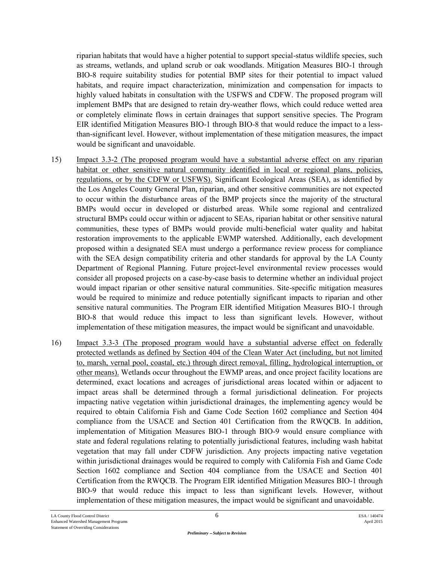riparian habitats that would have a higher potential to support special-status wildlife species, such as streams, wetlands, and upland scrub or oak woodlands. Mitigation Measures BIO-1 through BIO-8 require suitability studies for potential BMP sites for their potential to impact valued habitats, and require impact characterization, minimization and compensation for impacts to highly valued habitats in consultation with the USFWS and CDFW. The proposed program will implement BMPs that are designed to retain dry-weather flows, which could reduce wetted area or completely eliminate flows in certain drainages that support sensitive species. The Program EIR identified Mitigation Measures BIO-1 through BIO-8 that would reduce the impact to a lessthan-significant level. However, without implementation of these mitigation measures, the impact would be significant and unavoidable.

- 15) Impact 3.3-2 (The proposed program would have a substantial adverse effect on any riparian habitat or other sensitive natural community identified in local or regional plans, policies, regulations, or by the CDFW or USFWS). Significant Ecological Areas (SEA), as identified by the Los Angeles County General Plan, riparian, and other sensitive communities are not expected to occur within the disturbance areas of the BMP projects since the majority of the structural BMPs would occur in developed or disturbed areas. While some regional and centralized structural BMPs could occur within or adjacent to SEAs, riparian habitat or other sensitive natural communities, these types of BMPs would provide multi-beneficial water quality and habitat restoration improvements to the applicable EWMP watershed. Additionally, each development proposed within a designated SEA must undergo a performance review process for compliance with the SEA design compatibility criteria and other standards for approval by the LA County Department of Regional Planning. Future project-level environmental review processes would consider all proposed projects on a case-by-case basis to determine whether an individual project would impact riparian or other sensitive natural communities. Site-specific mitigation measures would be required to minimize and reduce potentially significant impacts to riparian and other sensitive natural communities. The Program EIR identified Mitigation Measures BIO-1 through BIO-8 that would reduce this impact to less than significant levels. However, without implementation of these mitigation measures, the impact would be significant and unavoidable.
- 16) Impact 3.3-3 (The proposed program would have a substantial adverse effect on federally protected wetlands as defined by Section 404 of the Clean Water Act (including, but not limited to, marsh, vernal pool, coastal, etc.) through direct removal, filling, hydrological interruption, or other means). Wetlands occur throughout the EWMP areas, and once project facility locations are determined, exact locations and acreages of jurisdictional areas located within or adjacent to impact areas shall be determined through a formal jurisdictional delineation. For projects impacting native vegetation within jurisdictional drainages, the implementing agency would be required to obtain California Fish and Game Code Section 1602 compliance and Section 404 compliance from the USACE and Section 401 Certification from the RWQCB. In addition, implementation of Mitigation Measures BIO-1 through BIO-9 would ensure compliance with state and federal regulations relating to potentially jurisdictional features, including wash habitat vegetation that may fall under CDFW jurisdiction. Any projects impacting native vegetation within jurisdictional drainages would be required to comply with California Fish and Game Code Section 1602 compliance and Section 404 compliance from the USACE and Section 401 Certification from the RWQCB. The Program EIR identified Mitigation Measures BIO-1 through BIO-9 that would reduce this impact to less than significant levels. However, without implementation of these mitigation measures, the impact would be significant and unavoidable.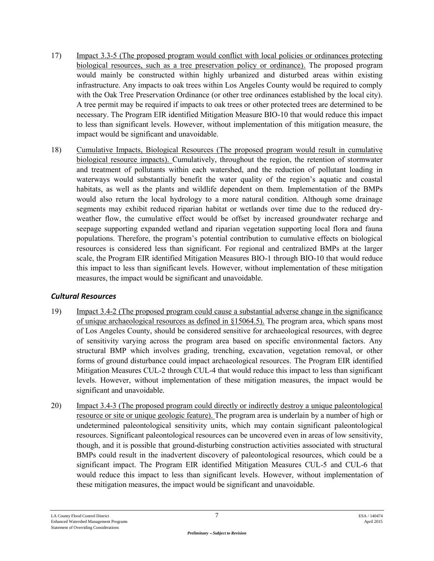- 17) Impact 3.3-5 (The proposed program would conflict with local policies or ordinances protecting biological resources, such as a tree preservation policy or ordinance). The proposed program would mainly be constructed within highly urbanized and disturbed areas within existing infrastructure. Any impacts to oak trees within Los Angeles County would be required to comply with the Oak Tree Preservation Ordinance (or other tree ordinances established by the local city). A tree permit may be required if impacts to oak trees or other protected trees are determined to be necessary. The Program EIR identified Mitigation Measure BIO-10 that would reduce this impact to less than significant levels. However, without implementation of this mitigation measure, the impact would be significant and unavoidable.
- 18) Cumulative Impacts, Biological Resources (The proposed program would result in cumulative biological resource impacts). Cumulatively, throughout the region, the retention of stormwater and treatment of pollutants within each watershed, and the reduction of pollutant loading in waterways would substantially benefit the water quality of the region's aquatic and coastal habitats, as well as the plants and wildlife dependent on them. Implementation of the BMPs would also return the local hydrology to a more natural condition. Although some drainage segments may exhibit reduced riparian habitat or wetlands over time due to the reduced dryweather flow, the cumulative effect would be offset by increased groundwater recharge and seepage supporting expanded wetland and riparian vegetation supporting local flora and fauna populations. Therefore, the program's potential contribution to cumulative effects on biological resources is considered less than significant. For regional and centralized BMPs at the larger scale, the Program EIR identified Mitigation Measures BIO-1 through BIO-10 that would reduce this impact to less than significant levels. However, without implementation of these mitigation measures, the impact would be significant and unavoidable.

# *Cultural Resources*

- 19) Impact 3.4-2 (The proposed program could cause a substantial adverse change in the significance of unique archaeological resources as defined in §15064.5). The program area, which spans most of Los Angeles County, should be considered sensitive for archaeological resources, with degree of sensitivity varying across the program area based on specific environmental factors. Any structural BMP which involves grading, trenching, excavation, vegetation removal, or other forms of ground disturbance could impact archaeological resources. The Program EIR identified Mitigation Measures CUL-2 through CUL-4 that would reduce this impact to less than significant levels. However, without implementation of these mitigation measures, the impact would be significant and unavoidable.
- 20) Impact 3.4-3 (The proposed program could directly or indirectly destroy a unique paleontological resource or site or unique geologic feature). The program area is underlain by a number of high or undetermined paleontological sensitivity units, which may contain significant paleontological resources. Significant paleontological resources can be uncovered even in areas of low sensitivity, though, and it is possible that ground-disturbing construction activities associated with structural BMPs could result in the inadvertent discovery of paleontological resources, which could be a significant impact. The Program EIR identified Mitigation Measures CUL-5 and CUL-6 that would reduce this impact to less than significant levels. However, without implementation of these mitigation measures, the impact would be significant and unavoidable.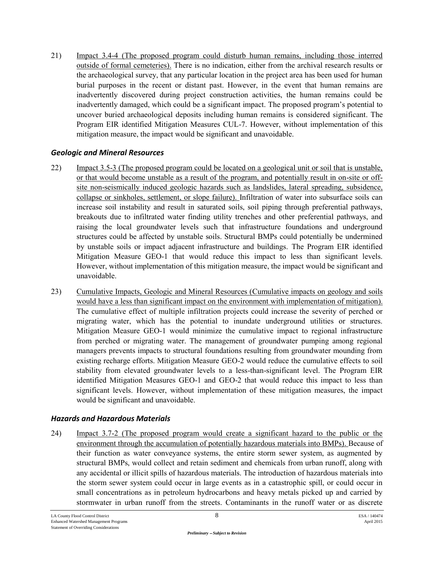21) Impact 3.4-4 (The proposed program could disturb human remains, including those interred outside of formal cemeteries). There is no indication, either from the archival research results or the archaeological survey, that any particular location in the project area has been used for human burial purposes in the recent or distant past. However, in the event that human remains are inadvertently discovered during project construction activities, the human remains could be inadvertently damaged, which could be a significant impact. The proposed program's potential to uncover buried archaeological deposits including human remains is considered significant. The Program EIR identified Mitigation Measures CUL-7. However, without implementation of this mitigation measure, the impact would be significant and unavoidable.

### *Geologic and Mineral Resources*

- 22) Impact 3.5-3 (The proposed program could be located on a geological unit or soil that is unstable, or that would become unstable as a result of the program, and potentially result in on-site or offsite non-seismically induced geologic hazards such as landslides, lateral spreading, subsidence, collapse or sinkholes, settlement, or slope failure). Infiltration of water into subsurface soils can increase soil instability and result in saturated soils, soil piping through preferential pathways, breakouts due to infiltrated water finding utility trenches and other preferential pathways, and raising the local groundwater levels such that infrastructure foundations and underground structures could be affected by unstable soils. Structural BMPs could potentially be undermined by unstable soils or impact adjacent infrastructure and buildings. The Program EIR identified Mitigation Measure GEO-1 that would reduce this impact to less than significant levels. However, without implementation of this mitigation measure, the impact would be significant and unavoidable.
- 23) Cumulative Impacts, Geologic and Mineral Resources (Cumulative impacts on geology and soils would have a less than significant impact on the environment with implementation of mitigation). The cumulative effect of multiple infiltration projects could increase the severity of perched or migrating water, which has the potential to inundate underground utilities or structures. Mitigation Measure GEO-1 would minimize the cumulative impact to regional infrastructure from perched or migrating water. The management of groundwater pumping among regional managers prevents impacts to structural foundations resulting from groundwater mounding from existing recharge efforts. Mitigation Measure GEO-2 would reduce the cumulative effects to soil stability from elevated groundwater levels to a less-than-significant level. The Program EIR identified Mitigation Measures GEO-1 and GEO-2 that would reduce this impact to less than significant levels. However, without implementation of these mitigation measures, the impact would be significant and unavoidable.

# *Hazards and Hazardous Materials*

24) Impact 3.7-2 (The proposed program would create a significant hazard to the public or the environment through the accumulation of potentially hazardous materials into BMPs). Because of their function as water conveyance systems, the entire storm sewer system, as augmented by structural BMPs, would collect and retain sediment and chemicals from urban runoff, along with any accidental or illicit spills of hazardous materials. The introduction of hazardous materials into the storm sewer system could occur in large events as in a catastrophic spill, or could occur in small concentrations as in petroleum hydrocarbons and heavy metals picked up and carried by stormwater in urban runoff from the streets. Contaminants in the runoff water or as discrete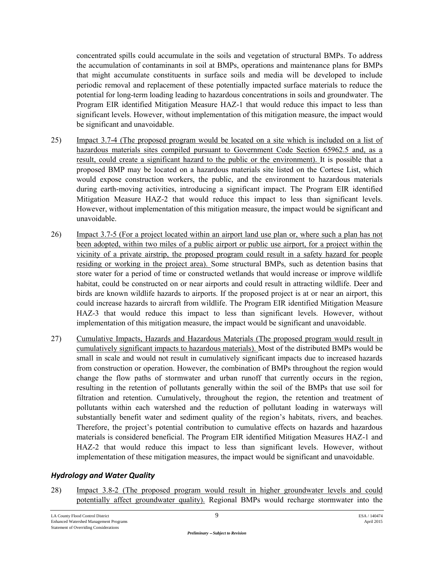concentrated spills could accumulate in the soils and vegetation of structural BMPs. To address the accumulation of contaminants in soil at BMPs, operations and maintenance plans for BMPs that might accumulate constituents in surface soils and media will be developed to include periodic removal and replacement of these potentially impacted surface materials to reduce the potential for long-term loading leading to hazardous concentrations in soils and groundwater. The Program EIR identified Mitigation Measure HAZ-1 that would reduce this impact to less than significant levels. However, without implementation of this mitigation measure, the impact would be significant and unavoidable.

- 25) Impact 3.7-4 (The proposed program would be located on a site which is included on a list of hazardous materials sites compiled pursuant to Government Code Section 65962.5 and, as a result, could create a significant hazard to the public or the environment). It is possible that a proposed BMP may be located on a hazardous materials site listed on the Cortese List, which would expose construction workers, the public, and the environment to hazardous materials during earth-moving activities, introducing a significant impact. The Program EIR identified Mitigation Measure HAZ-2 that would reduce this impact to less than significant levels. However, without implementation of this mitigation measure, the impact would be significant and unavoidable.
- 26) Impact 3.7-5 (For a project located within an airport land use plan or, where such a plan has not been adopted, within two miles of a public airport or public use airport, for a project within the vicinity of a private airstrip, the proposed program could result in a safety hazard for people residing or working in the project area). Some structural BMPs, such as detention basins that store water for a period of time or constructed wetlands that would increase or improve wildlife habitat, could be constructed on or near airports and could result in attracting wildlife. Deer and birds are known wildlife hazards to airports. If the proposed project is at or near an airport, this could increase hazards to aircraft from wildlife. The Program EIR identified Mitigation Measure HAZ-3 that would reduce this impact to less than significant levels. However, without implementation of this mitigation measure, the impact would be significant and unavoidable.
- 27) Cumulative Impacts, Hazards and Hazardous Materials (The proposed program would result in cumulatively significant impacts to hazardous materials). Most of the distributed BMPs would be small in scale and would not result in cumulatively significant impacts due to increased hazards from construction or operation. However, the combination of BMPs throughout the region would change the flow paths of stormwater and urban runoff that currently occurs in the region, resulting in the retention of pollutants generally within the soil of the BMPs that use soil for filtration and retention. Cumulatively, throughout the region, the retention and treatment of pollutants within each watershed and the reduction of pollutant loading in waterways will substantially benefit water and sediment quality of the region's habitats, rivers, and beaches. Therefore, the project's potential contribution to cumulative effects on hazards and hazardous materials is considered beneficial. The Program EIR identified Mitigation Measures HAZ-1 and HAZ-2 that would reduce this impact to less than significant levels. However, without implementation of these mitigation measures, the impact would be significant and unavoidable.

# *Hydrology and Water Quality*

28) Impact 3.8-2 (The proposed program would result in higher groundwater levels and could potentially affect groundwater quality). Regional BMPs would recharge stormwater into the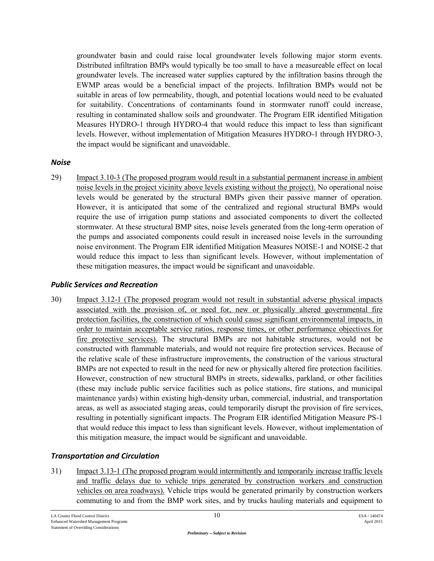groundwater basin and could raise local groundwater levels following major storm events. Distributed infiltration BMPs would typically be too small to have a measureable effect on local groundwater levels. The increased water supplies captured by the infiltration basins through the EWMP areas would be a beneficial impact of the projects. Infiltration BMPs would not be suitable in areas of low permeability, though, and potential locations would need to be evaluated for suitability. Concentrations of contaminants found in stormwater runoff could increase, resulting in contaminated shallow soils and groundwater. The Program EIR identified Mitigation Measures HYDRO-1 through HYDRO-4 that would reduce this impact to less than significant levels. However, without implementation of Mitigation Measures HYDRO-1 through HYDRO-3, the impact would be significant and unavoidable.

### *Noise*

29) Impact 3.10-3 (The proposed program would result in a substantial permanent increase in ambient noise levels in the project vicinity above levels existing without the project). No operational noise levels would be generated by the structural BMPs given their passive manner of operation. However, it is anticipated that some of the centralized and regional structural BMPs would require the use of irrigation pump stations and associated components to divert the collected stormwater. At these structural BMP sites, noise levels generated from the long-term operation of the pumps and associated components could result in increased noise levels in the surrounding noise environment. The Program EIR identified Mitigation Measures NOISE-1 and NOISE-2 that would reduce this impact to less than significant levels. However, without implementation of these mitigation measures, the impact would be significant and unavoidable.

### *Public Services and Recreation*

30) Impact 3.12-1 (The proposed program would not result in substantial adverse physical impacts associated with the provision of, or need for, new or physically altered governmental fire protection facilities, the construction of which could cause significant environmental impacts, in order to maintain acceptable service ratios, response times, or other performance objectives for fire protective services). The structural BMPs are not habitable structures, would not be constructed with flammable materials, and would not require fire protection services. Because of the relative scale of these infrastructure improvements, the construction of the various structural BMPs are not expected to result in the need for new or physically altered fire protection facilities. However, construction of new structural BMPs in streets, sidewalks, parkland, or other facilities (these may include public service facilities such as police stations, fire stations, and municipal maintenance yards) within existing high-density urban, commercial, industrial, and transportation areas, as well as associated staging areas, could temporarily disrupt the provision of fire services, resulting in potentially significant impacts. The Program EIR identified Mitigation Measure PS-1 that would reduce this impact to less than significant levels. However, without implementation of this mitigation measure, the impact would be significant and unavoidable.

### *Transportation and Circulation*

31) Impact 3.13-1 (The proposed program would intermittently and temporarily increase traffic levels and traffic delays due to vehicle trips generated by construction workers and construction vehicles on area roadways). Vehicle trips would be generated primarily by construction workers commuting to and from the BMP work sites, and by trucks hauling materials and equipment to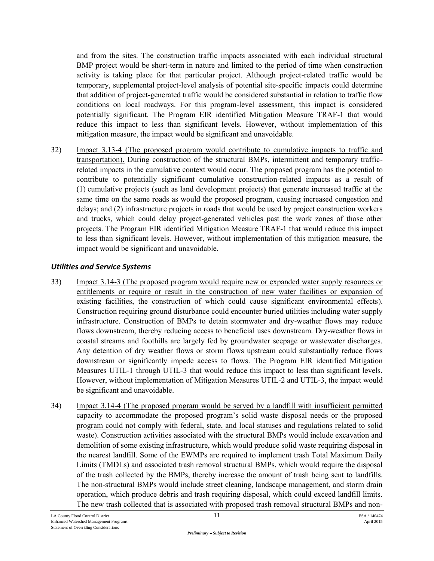and from the sites. The construction traffic impacts associated with each individual structural BMP project would be short-term in nature and limited to the period of time when construction activity is taking place for that particular project. Although project-related traffic would be temporary, supplemental project-level analysis of potential site-specific impacts could determine that addition of project-generated traffic would be considered substantial in relation to traffic flow conditions on local roadways. For this program-level assessment, this impact is considered potentially significant. The Program EIR identified Mitigation Measure TRAF-1 that would reduce this impact to less than significant levels. However, without implementation of this mitigation measure, the impact would be significant and unavoidable.

32) Impact 3.13-4 (The proposed program would contribute to cumulative impacts to traffic and transportation). During construction of the structural BMPs, intermittent and temporary trafficrelated impacts in the cumulative context would occur. The proposed program has the potential to contribute to potentially significant cumulative construction-related impacts as a result of (1) cumulative projects (such as land development projects) that generate increased traffic at the same time on the same roads as would the proposed program, causing increased congestion and delays; and (2) infrastructure projects in roads that would be used by project construction workers and trucks, which could delay project-generated vehicles past the work zones of those other projects. The Program EIR identified Mitigation Measure TRAF-1 that would reduce this impact to less than significant levels. However, without implementation of this mitigation measure, the impact would be significant and unavoidable.

# *Utilities and Service Systems*

- 33) Impact 3.14-3 (The proposed program would require new or expanded water supply resources or entitlements or require or result in the construction of new water facilities or expansion of existing facilities, the construction of which could cause significant environmental effects). Construction requiring ground disturbance could encounter buried utilities including water supply infrastructure. Construction of BMPs to detain stormwater and dry-weather flows may reduce flows downstream, thereby reducing access to beneficial uses downstream. Dry-weather flows in coastal streams and foothills are largely fed by groundwater seepage or wastewater discharges. Any detention of dry weather flows or storm flows upstream could substantially reduce flows downstream or significantly impede access to flows. The Program EIR identified Mitigation Measures UTIL-1 through UTIL-3 that would reduce this impact to less than significant levels. However, without implementation of Mitigation Measures UTIL-2 and UTIL-3, the impact would be significant and unavoidable.
- 34) Impact 3.14-4 (The proposed program would be served by a landfill with insufficient permitted capacity to accommodate the proposed program's solid waste disposal needs or the proposed program could not comply with federal, state, and local statuses and regulations related to solid waste). Construction activities associated with the structural BMPs would include excavation and demolition of some existing infrastructure, which would produce solid waste requiring disposal in the nearest landfill. Some of the EWMPs are required to implement trash Total Maximum Daily Limits (TMDLs) and associated trash removal structural BMPs, which would require the disposal of the trash collected by the BMPs, thereby increase the amount of trash being sent to landfills. The non-structural BMPs would include street cleaning, landscape management, and storm drain operation, which produce debris and trash requiring disposal, which could exceed landfill limits. The new trash collected that is associated with proposed trash removal structural BMPs and non-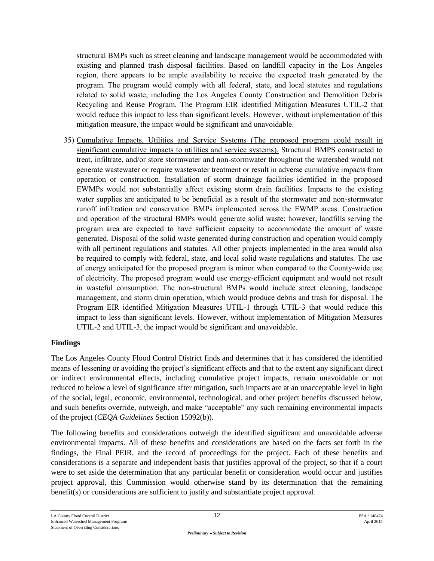structural BMPs such as street cleaning and landscape management would be accommodated with existing and planned trash disposal facilities. Based on landfill capacity in the Los Angeles region, there appears to be ample availability to receive the expected trash generated by the program. The program would comply with all federal, state, and local statutes and regulations related to solid waste, including the Los Angeles County Construction and Demolition Debris Recycling and Reuse Program. The Program EIR identified Mitigation Measures UTIL-2 that would reduce this impact to less than significant levels. However, without implementation of this mitigation measure, the impact would be significant and unavoidable.

35) Cumulative Impacts, Utilities and Service Systems (The proposed program could result in significant cumulative impacts to utilities and service systems). Structural BMPS constructed to treat, infiltrate, and/or store stormwater and non-stormwater throughout the watershed would not generate wastewater or require wastewater treatment or result in adverse cumulative impacts from operation or construction. Installation of storm drainage facilities identified in the proposed EWMPs would not substantially affect existing storm drain facilities. Impacts to the existing water supplies are anticipated to be beneficial as a result of the stormwater and non-stormwater runoff infiltration and conservation BMPs implemented across the EWMP areas. Construction and operation of the structural BMPs would generate solid waste; however, landfills serving the program area are expected to have sufficient capacity to accommodate the amount of waste generated. Disposal of the solid waste generated during construction and operation would comply with all pertinent regulations and statutes. All other projects implemented in the area would also be required to comply with federal, state, and local solid waste regulations and statutes. The use of energy anticipated for the proposed program is minor when compared to the County-wide use of electricity. The proposed program would use energy-efficient equipment and would not result in wasteful consumption. The non-structural BMPs would include street cleaning, landscape management, and storm drain operation, which would produce debris and trash for disposal. The Program EIR identified Mitigation Measures UTIL-1 through UTIL-3 that would reduce this impact to less than significant levels. However, without implementation of Mitigation Measures UTIL-2 and UTIL-3, the impact would be significant and unavoidable.

### **Findings**

The Los Angeles County Flood Control District finds and determines that it has considered the identified means of lessening or avoiding the project's significant effects and that to the extent any significant direct or indirect environmental effects, including cumulative project impacts, remain unavoidable or not reduced to below a level of significance after mitigation, such impacts are at an unacceptable level in light of the social, legal, economic, environmental, technological, and other project benefits discussed below, and such benefits override, outweigh, and make "acceptable" any such remaining environmental impacts of the project (*CEQA Guidelines* Section 15092(b)).

The following benefits and considerations outweigh the identified significant and unavoidable adverse environmental impacts. All of these benefits and considerations are based on the facts set forth in the findings, the Final PEIR, and the record of proceedings for the project. Each of these benefits and considerations is a separate and independent basis that justifies approval of the project, so that if a court were to set aside the determination that any particular benefit or consideration would occur and justifies project approval, this Commission would otherwise stand by its determination that the remaining benefit(s) or considerations are sufficient to justify and substantiate project approval.